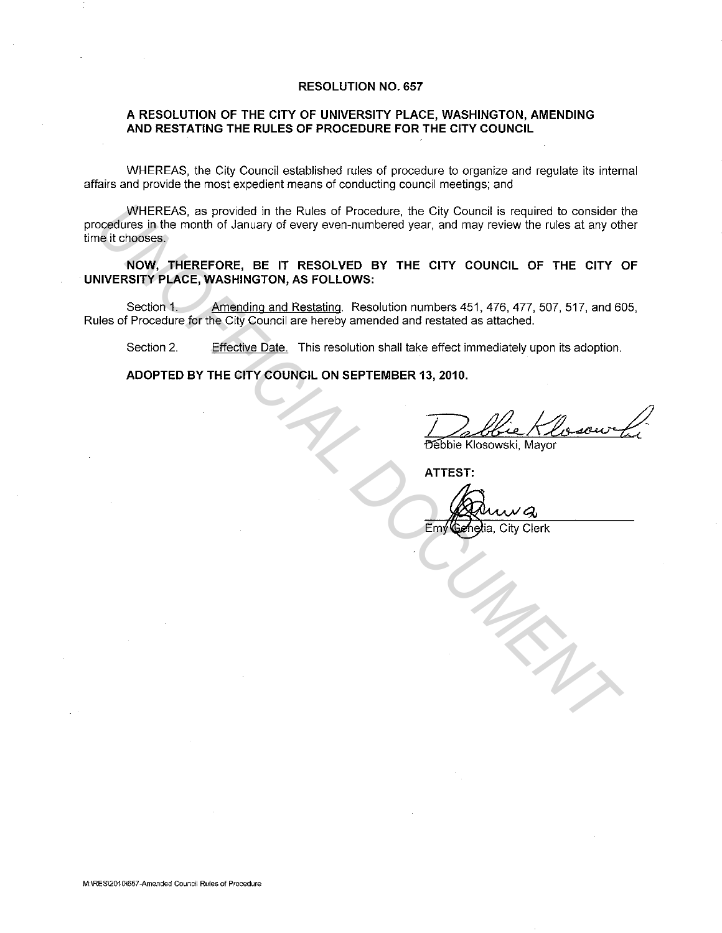#### **RESOLUTION NO. 657**

#### **A RESOLUTION OF THE CITY OF UNIVERSITY PLACE, WASHINGTON, AMENDING AND RESTATING THE RULES OF PROCEDURE FOR THE CITY COUNCIL**

WHEREAS, the City Council established rules of procedure to organize and regulate its internal affairs and provide the most expedient means of conducting council meetings; and

WHEREAS, as provided in the Rules of Procedure, the City Council is required to consider the procedures in the month of January of every even-numbered year, and may review the rules at any other time it chooses. WHERENS, as provided in the Rules of Procedure, the City Council is required to consider the fit chooses.<br>
The fit chooses the month of January of every even-numbered year, and may review the rules at any of<br>
INORY, THEREF

**NOW, THEREFORE, BE IT RESOLVED BY THE CITY COUNCIL OF THE CITY OF UNIVERSITY PLACE, WASHINGTON, AS FOLLOWS:** 

Section 1. Amending and Restating. Resolution numbers 451, 476, 477, 507, 517, and 605, Rules of Procedure for the City Council are hereby amended and restated as attached.

Section 2. Effective Date. This resolution shall take effect immediately upon its adoption.

**ADOPTED BY THE CITY COUNCIL ON SEPTEMBER 13, 2010.** 

Debbie Klosour Li

**ATTEST:** 

Emy Genetia, City Clerk

**M:\RES\2010\657-Amended Council Rules of Procedure**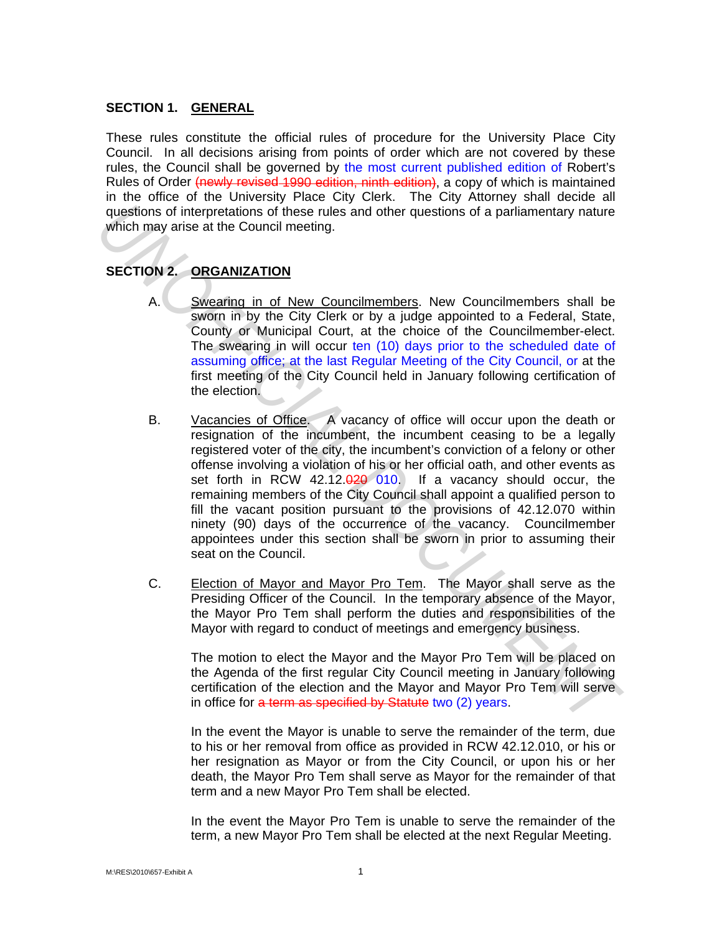### **SECTION 1. GENERAL**

These rules constitute the official rules of procedure for the University Place City Council. In all decisions arising from points of order which are not covered by these rules, the Council shall be governed by the most current published edition of Robert's Rules of Order (newly revised 1990 edition, ninth edition), a copy of which is maintained in the office of the University Place City Clerk. The City Attorney shall decide all questions of interpretations of these rules and other questions of a parliamentary nature which may arise at the Council meeting.

# **SECTION 2. ORGANIZATION**

- A. Swearing in of New Councilmembers. New Councilmembers shall be sworn in by the City Clerk or by a judge appointed to a Federal, State, County or Municipal Court, at the choice of the Councilmember-elect. The swearing in will occur ten (10) days prior to the scheduled date of assuming office; at the last Regular Meeting of the City Council, or at the first meeting of the City Council held in January following certification of the election.
- B. Vacancies of Office. A vacancy of office will occur upon the death or resignation of the incumbent, the incumbent ceasing to be a legally registered voter of the city, the incumbent's conviction of a felony or other offense involving a violation of his or her official oath, and other events as set forth in RCW 42.12.020 010. If a vacancy should occur, the remaining members of the City Council shall appoint a qualified person to fill the vacant position pursuant to the provisions of 42.12.070 within ninety (90) days of the occurrence of the vacancy. Councilmember appointees under this section shall be sworn in prior to assuming their seat on the Council. **EXECTION 2. ORGANIZATION**<br> **UNITEREM** These rules and other questions of a parliamentary nature<br>
which may arise at the Council meeting.<br> **SECTION 2. ORGANIZATION**<br> **A. Swearing in of New Councilmembers**. New Counci
	- C. Election of Mayor and Mayor Pro Tem. The Mayor shall serve as the Presiding Officer of the Council. In the temporary absence of the Mayor, the Mayor Pro Tem shall perform the duties and responsibilities of the Mayor with regard to conduct of meetings and emergency business.

The motion to elect the Mayor and the Mayor Pro Tem will be placed on the Agenda of the first regular City Council meeting in January following certification of the election and the Mayor and Mayor Pro Tem will serve in office for a term as specified by Statute two (2) years.

In the event the Mayor is unable to serve the remainder of the term, due to his or her removal from office as provided in RCW 42.12.010, or his or her resignation as Mayor or from the City Council, or upon his or her death, the Mayor Pro Tem shall serve as Mayor for the remainder of that term and a new Mayor Pro Tem shall be elected.

In the event the Mayor Pro Tem is unable to serve the remainder of the term, a new Mayor Pro Tem shall be elected at the next Regular Meeting.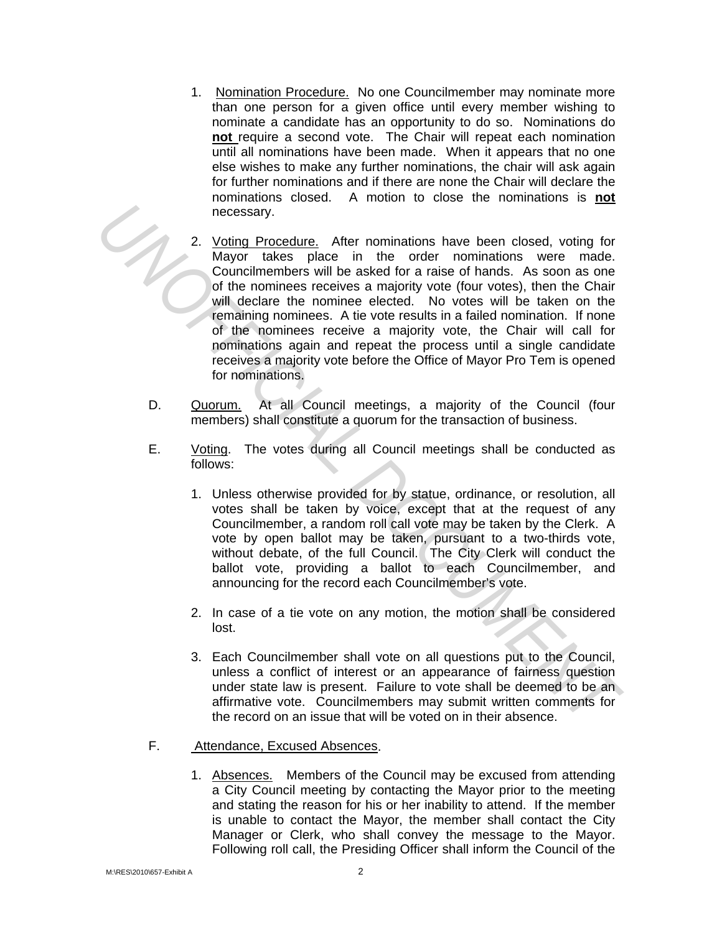- 1. Nomination Procedure. No one Councilmember may nominate more than one person for a given office until every member wishing to nominate a candidate has an opportunity to do so. Nominations do **not** require a second vote. The Chair will repeat each nomination until all nominations have been made. When it appears that no one else wishes to make any further nominations, the chair will ask again for further nominations and if there are none the Chair will declare the nominations closed. A motion to close the nominations is **not** necessary.
- 2. Voting Procedure. After nominations have been closed, voting for Mayor takes place in the order nominations were made. Councilmembers will be asked for a raise of hands. As soon as one of the nominees receives a majority vote (four votes), then the Chair will declare the nominee elected. No votes will be taken on the remaining nominees. A tie vote results in a failed nomination. If none of the nominees receive a majority vote, the Chair will call for nominations again and repeat the process until a single candidate receives a majority vote before the Office of Mayor Pro Tem is opened for nominations. **Example 19** and the order of the following the mother increases and the order incrementations were made, and the order incrementations will be asked for a rate of the normine seckies a majority vote (four votes), then the
	- D. Quorum. At all Council meetings, a majority of the Council (four members) shall constitute a quorum for the transaction of business.
	- E. Voting. The votes during all Council meetings shall be conducted as follows:
		- 1. Unless otherwise provided for by statue, ordinance, or resolution, all votes shall be taken by voice, except that at the request of any Councilmember, a random roll call vote may be taken by the Clerk. A vote by open ballot may be taken, pursuant to a two-thirds vote, without debate, of the full Council. The City Clerk will conduct the ballot vote, providing a ballot to each Councilmember, and announcing for the record each Councilmember's vote.
		- 2. In case of a tie vote on any motion, the motion shall be considered lost.
		- 3. Each Councilmember shall vote on all questions put to the Council, unless a conflict of interest or an appearance of fairness question under state law is present. Failure to vote shall be deemed to be an affirmative vote. Councilmembers may submit written comments for the record on an issue that will be voted on in their absence.
	- F. Attendance, Excused Absences.
		- 1. Absences. Members of the Council may be excused from attending a City Council meeting by contacting the Mayor prior to the meeting and stating the reason for his or her inability to attend. If the member is unable to contact the Mayor, the member shall contact the City Manager or Clerk, who shall convey the message to the Mayor. Following roll call, the Presiding Officer shall inform the Council of the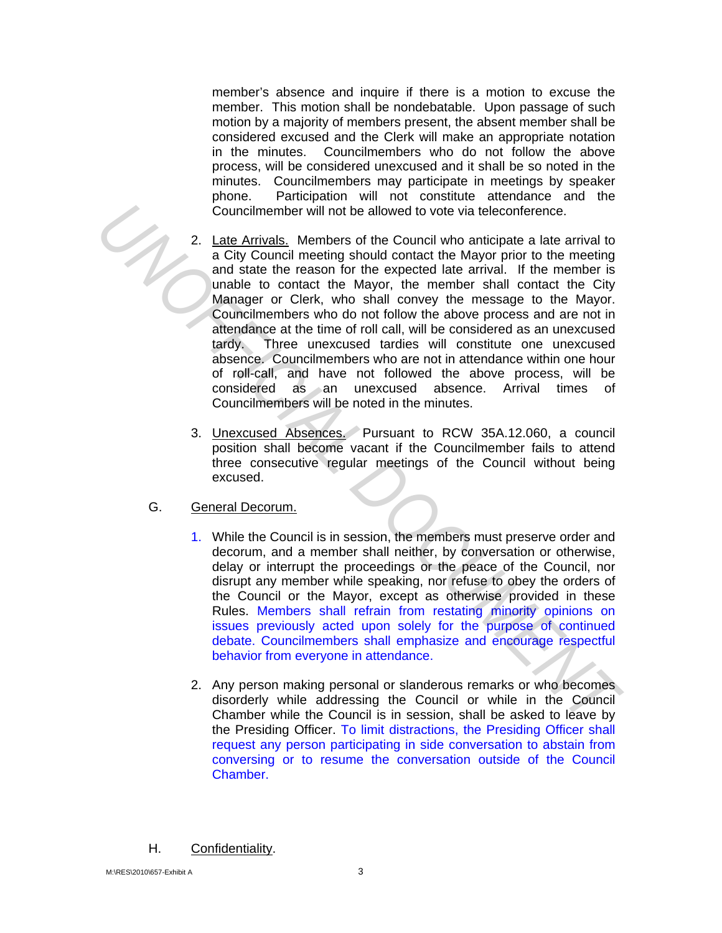member's absence and inquire if there is a motion to excuse the member. This motion shall be nondebatable. Upon passage of such motion by a majority of members present, the absent member shall be considered excused and the Clerk will make an appropriate notation in the minutes. Councilmembers who do not follow the above process, will be considered unexcused and it shall be so noted in the minutes. Councilmembers may participate in meetings by speaker phone. Participation will not constitute attendance and the Councilmember will not be allowed to vote via teleconference.

- 2. Late Arrivals. Members of the Council who anticipate a late arrival to a City Council meeting should contact the Mayor prior to the meeting and state the reason for the expected late arrival. If the member is unable to contact the Mayor, the member shall contact the City Manager or Clerk, who shall convey the message to the Mayor. Councilmembers who do not follow the above process and are not in attendance at the time of roll call, will be considered as an unexcused tardy. Three unexcused tardies will constitute one unexcused absence. Councilmembers who are not in attendance within one hour of roll-call, and have not followed the above process, will be considered as an unexcused absence. Arrival times of Councilmembers will be noted in the minutes. Councilmember will not be allowed to vote via teleconference.<br> **2.** Late Arrivals, Members of the Council who anticipate a late arrival to control who include of the Mayor, the member is<br>
and state the reason for the expec
	- 3. Unexcused Absences. Pursuant to RCW 35A.12.060, a council position shall become vacant if the Councilmember fails to attend three consecutive regular meetings of the Council without being excused.
	- G. General Decorum.
		- 1. While the Council is in session, the members must preserve order and decorum, and a member shall neither, by conversation or otherwise, delay or interrupt the proceedings or the peace of the Council, nor disrupt any member while speaking, nor refuse to obey the orders of the Council or the Mayor, except as otherwise provided in these Rules. Members shall refrain from restating minority opinions on issues previously acted upon solely for the purpose of continued debate. Councilmembers shall emphasize and encourage respectful behavior from everyone in attendance.
		- 2. Any person making personal or slanderous remarks or who becomes disorderly while addressing the Council or while in the Council Chamber while the Council is in session, shall be asked to leave by the Presiding Officer. To limit distractions, the Presiding Officer shall request any person participating in side conversation to abstain from conversing or to resume the conversation outside of the Council Chamber.
	- H. Confidentiality.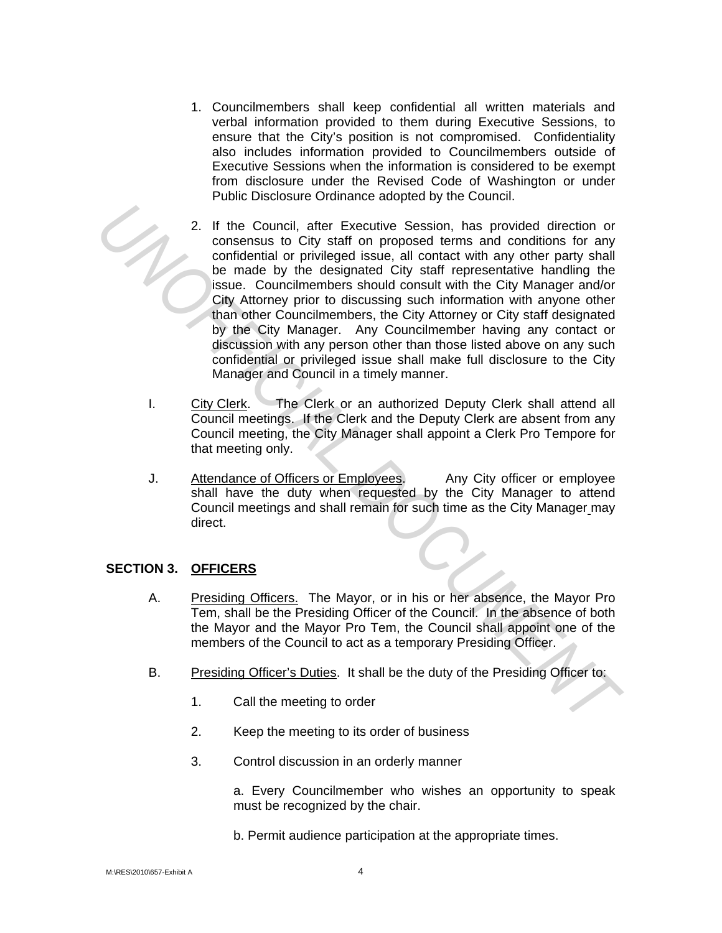- 1. Councilmembers shall keep confidential all written materials and verbal information provided to them during Executive Sessions, to ensure that the City's position is not compromised. Confidentiality also includes information provided to Councilmembers outside of Executive Sessions when the information is considered to be exempt from disclosure under the Revised Code of Washington or under Public Disclosure Ordinance adopted by the Council.
- 2. If the Council, after Executive Session, has provided direction or consensus to City staff on proposed terms and conditions for any confidential or privileged issue, all contact with any other party shall be made by the designated City staff representative handling the issue. Councilmembers should consult with the City Manager and/or City Attorney prior to discussing such information with anyone other than other Councilmembers, the City Attorney or City staff designated by the City Manager. Any Councilmember having any contact or discussion with any person other than those listed above on any such confidential or privileged issue shall make full disclosure to the City Manager and Council in a timely manner. **EXECTION 3.** Constrained the proposed terms and conditions for any conditional of prividential or prividential or prividential or prividential or prividential or prividential or prividential or prividential or prividentia
	- I. City Clerk. The Clerk or an authorized Deputy Clerk shall attend all Council meetings. If the Clerk and the Deputy Clerk are absent from any Council meeting, the City Manager shall appoint a Clerk Pro Tempore for that meeting only.
	- J. Attendance of Officers or Employees. Any City officer or employee shall have the duty when requested by the City Manager to attend Council meetings and shall remain for such time as the City Manager may direct.

# **SECTION 3. OFFICERS**

- A. Presiding Officers. The Mayor, or in his or her absence, the Mayor Pro Tem, shall be the Presiding Officer of the Council. In the absence of both the Mayor and the Mayor Pro Tem, the Council shall appoint one of the members of the Council to act as a temporary Presiding Officer.
- B. Presiding Officer's Duties. It shall be the duty of the Presiding Officer to:
	- 1. Call the meeting to order
	- 2. Keep the meeting to its order of business
	- 3. Control discussion in an orderly manner

a. Every Councilmember who wishes an opportunity to speak must be recognized by the chair.

b. Permit audience participation at the appropriate times.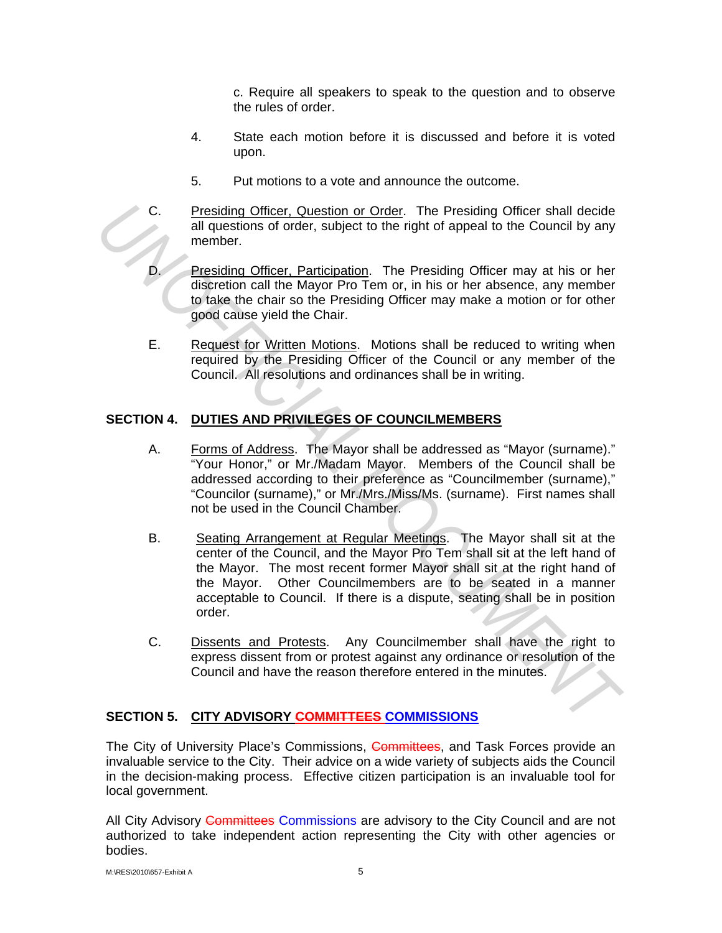c. Require all speakers to speak to the question and to observe the rules of order.

- 4. State each motion before it is discussed and before it is voted upon.
- 5. Put motions to a vote and announce the outcome.
- C. Presiding Officer, Question or Order. The Presiding Officer shall decide all questions of order, subject to the right of appeal to the Council by any member.
	- Presiding Officer, Participation. The Presiding Officer may at his or her discretion call the Mayor Pro Tem or, in his or her absence, any member to take the chair so the Presiding Officer may make a motion or for other good cause yield the Chair.
- E. Request for Written Motions. Motions shall be reduced to writing when required by the Presiding Officer of the Council or any member of the Council. All resolutions and ordinances shall be in writing.

# **SECTION 4. DUTIES AND PRIVILEGES OF COUNCILMEMBERS**

- A. Forms of Address. The Mayor shall be addressed as "Mayor (surname)." "Your Honor," or Mr./Madam Mayor. Members of the Council shall be addressed according to their preference as "Councilmember (surname)," "Councilor (surname)," or Mr./Mrs./Miss/Ms. (surname). First names shall not be used in the Council Chamber.
- B. Seating Arrangement at Regular Meetings. The Mayor shall sit at the center of the Council, and the Mayor Pro Tem shall sit at the left hand of the Mayor. The most recent former Mayor shall sit at the right hand of the Mayor. Other Councilmembers are to be seated in a manner acceptable to Council. If there is a dispute, seating shall be in position order. C. <u>Presiding Officer, Question or Order</u>. The Presiding Officer shall decide<br>
alrequestions of order, subject to the right of appeal to the Council by any<br>
member.<br> **D.** <u>Presiding Officer, Panticipation</u>. The Presiding O
	- C. Dissents and Protests. Any Councilmember shall have the right to express dissent from or protest against any ordinance or resolution of the Council and have the reason therefore entered in the minutes.

# **SECTION 5. CITY ADVISORY COMMITTEES COMMISSIONS**

The City of University Place's Commissions, Committees, and Task Forces provide an invaluable service to the City. Their advice on a wide variety of subjects aids the Council in the decision-making process. Effective citizen participation is an invaluable tool for local government.

All City Advisory Committees Commissions are advisory to the City Council and are not authorized to take independent action representing the City with other agencies or bodies.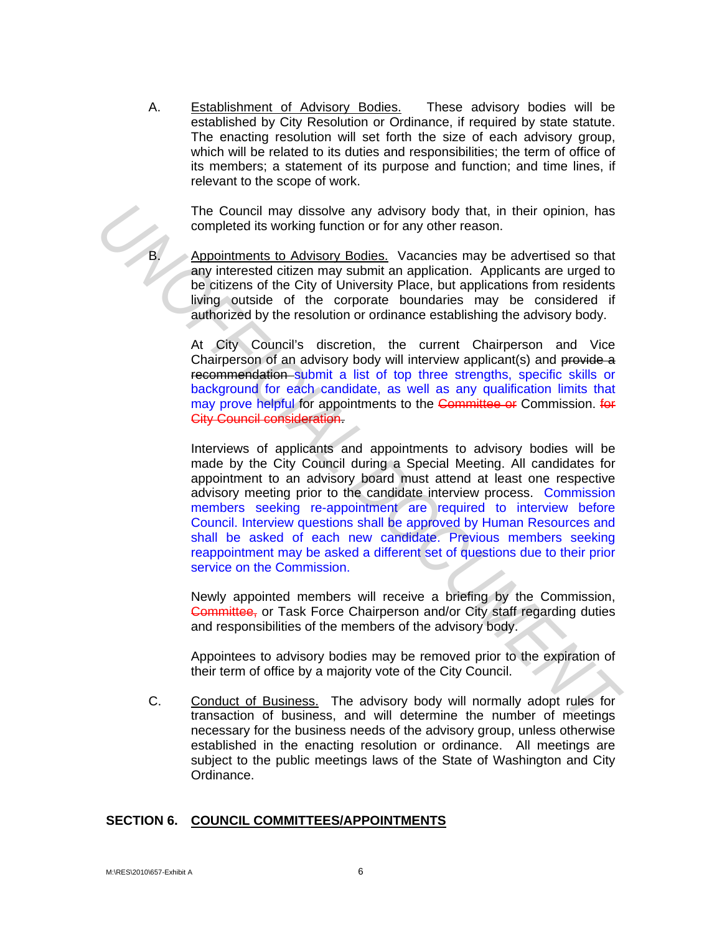A. Establishment of Advisory Bodies. These advisory bodies will be established by City Resolution or Ordinance, if required by state statute. The enacting resolution will set forth the size of each advisory group, which will be related to its duties and responsibilities; the term of office of its members; a statement of its purpose and function; and time lines, if relevant to the scope of work.

The Council may dissolve any advisory body that, in their opinion, has completed its working function or for any other reason.

Appointments to Advisory Bodies. Vacancies may be advertised so that any interested citizen may submit an application. Applicants are urged to be citizens of the City of University Place, but applications from residents living outside of the corporate boundaries may be considered if authorized by the resolution or ordinance establishing the advisory body.

At City Council's discretion, the current Chairperson and Vice Chairperson of an advisory body will interview applicant(s) and provide a recommendation submit a list of top three strengths, specific skills or background for each candidate, as well as any qualification limits that may prove helpful for appointments to the Committee or Commission. for City Council consideration.

Interviews of applicants and appointments to advisory bodies will be made by the City Council during a Special Meeting. All candidates for appointment to an advisory board must attend at least one respective advisory meeting prior to the candidate interview process. Commission members seeking re-appointment are required to interview before Council. Interview questions shall be approved by Human Resources and shall be asked of each new candidate. Previous members seeking reappointment may be asked a different set of questions due to their prior service on the Commission. The Council may dissolve any advisory body that, in their opinion, has<br>completed its working function of for any other reason.<br>**Algo infining the Advisory Bodiss**, Vacancies may be advertised so that<br>any interested citizen

Newly appointed members will receive a briefing by the Commission, Committee, or Task Force Chairperson and/or City staff regarding duties and responsibilities of the members of the advisory body.

Appointees to advisory bodies may be removed prior to the expiration of their term of office by a majority vote of the City Council.

C. Conduct of Business. The advisory body will normally adopt rules for transaction of business, and will determine the number of meetings necessary for the business needs of the advisory group, unless otherwise established in the enacting resolution or ordinance. All meetings are subject to the public meetings laws of the State of Washington and City Ordinance.

#### **SECTION 6. COUNCIL COMMITTEES/APPOINTMENTS**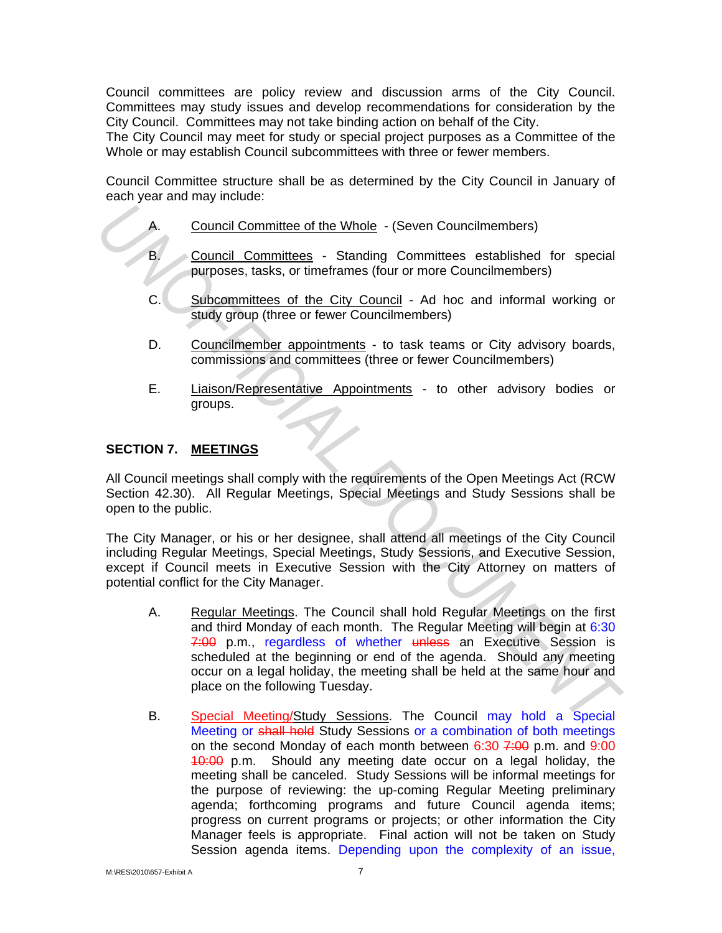Council committees are policy review and discussion arms of the City Council. Committees may study issues and develop recommendations for consideration by the City Council. Committees may not take binding action on behalf of the City.

The City Council may meet for study or special project purposes as a Committee of the Whole or may establish Council subcommittees with three or fewer members.

Council Committee structure shall be as determined by the City Council in January of each year and may include:

- A. Council Committee of the Whole (Seven Councilmembers)
- B. Council Committees Standing Committees established for special purposes, tasks, or timeframes (four or more Councilmembers)
- C. Subcommittees of the City Council Ad hoc and informal working or study group (three or fewer Councilmembers)
- D. Councilmember appointments to task teams or City advisory boards, commissions and committees (three or fewer Councilmembers)
- E. Liaison/Representative Appointments to other advisory bodies or groups.

### **SECTION 7. MEETINGS**

All Council meetings shall comply with the requirements of the Open Meetings Act (RCW Section 42.30). All Regular Meetings, Special Meetings and Study Sessions shall be open to the public.

The City Manager, or his or her designee, shall attend all meetings of the City Council including Regular Meetings, Special Meetings, Study Sessions, and Executive Session, except if Council meets in Executive Session with the City Attorney on matters of potential conflict for the City Manager.

- A. Regular Meetings. The Council shall hold Regular Meetings on the first and third Monday of each month. The Regular Meeting will begin at 6:30 7:00 p.m., regardless of whether unless an Executive Session is scheduled at the beginning or end of the agenda. Should any meeting occur on a legal holiday, the meeting shall be held at the same hour and place on the following Tuesday. **A.** Council Committee of the Whole - (Seven Councilmembers)<br> **B.** Council Committees - Standing Committees established for special<br>
purposes, tasks, or timeframes (four or more Councilmembers)<br> **C.** Subcommittees of the C
	- B. Special Meeting/Study Sessions. The Council may hold a Special Meeting or shall hold Study Sessions or a combination of both meetings on the second Monday of each month between  $6:30$   $7:00$  p.m. and  $9:00$ 10:00 p.m. Should any meeting date occur on a legal holiday, the meeting shall be canceled. Study Sessions will be informal meetings for the purpose of reviewing: the up-coming Regular Meeting preliminary agenda; forthcoming programs and future Council agenda items; progress on current programs or projects; or other information the City Manager feels is appropriate. Final action will not be taken on Study Session agenda items. Depending upon the complexity of an issue,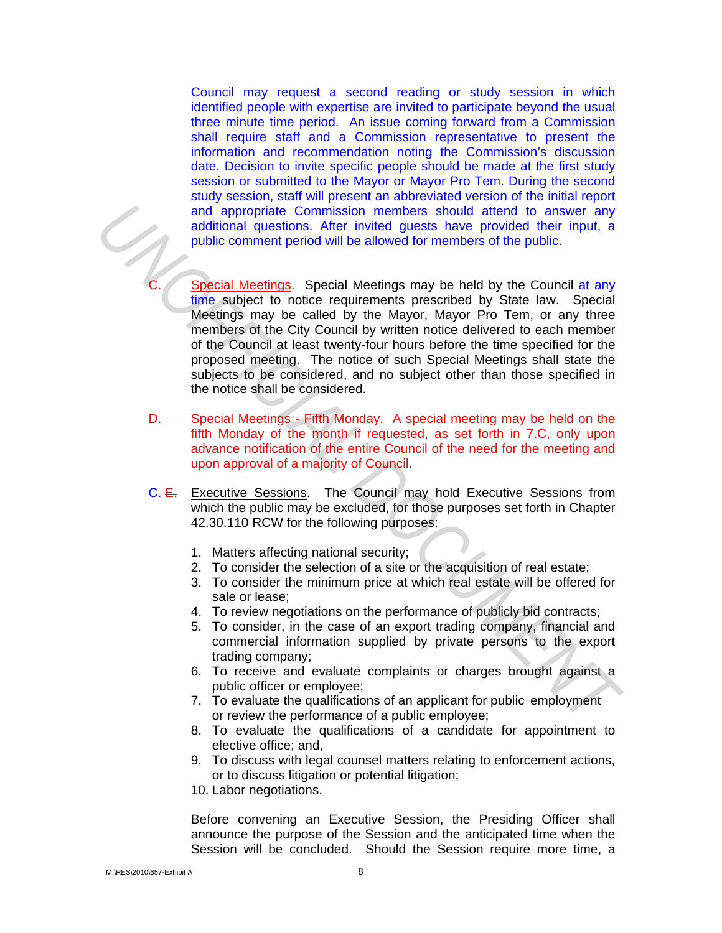Council may request a second reading or study session in which identified people with expertise are invited to participate beyond the usual three minute time period. An issue coming forward from a Commission shall require staff and a Commission representative to present the information and recommendation noting the Commission's discussion date. Decision to invite specific people should be made at the first study session or submitted to the Mayor or Mayor Pro Tem. During the second study session, staff will present an abbreviated version of the initial report and appropriate Commission members should attend to answer any additional questions. After invited guests have provided their input, a public comment period will be allowed for members of the public.

- Special Meetings. Special Meetings may be held by the Council at any time subject to notice requirements prescribed by State law. Special Meetings may be called by the Mayor, Mayor Pro Tem, or any three members of the City Council by written notice delivered to each member of the Council at least twenty-four hours before the time specified for the proposed meeting. The notice of such Special Meetings shall state the subjects to be considered, and no subject other than those specified in the notice shall be considered. and appropriate Commission members should attent to answer any<br>and appropriate Commission members have provided their input, a<br>public comment pend will be allowed for members of the public.<br> **C.** Special Meetings may be he
	- D. Special Meetings Fifth Monday. A special meeting may be held on the fifth Monday of the month if requested, as set forth in 7.C, only upon advance notification of the entire Council of the need for the meeting and upon approval of a majority of Council.
	- C. E. Executive Sessions. The Council may hold Executive Sessions from which the public may be excluded, for those purposes set forth in Chapter 42.30.110 RCW for the following purposes:
		- 1. Matters affecting national security;
		- 2. To consider the selection of a site or the acquisition of real estate;
		- 3. To consider the minimum price at which real estate will be offered for sale or lease;
		- 4. To review negotiations on the performance of publicly bid contracts;
		- 5. To consider, in the case of an export trading company, financial and commercial information supplied by private persons to the export trading company;
		- 6. To receive and evaluate complaints or charges brought against a public officer or employee;
		- 7. To evaluate the qualifications of an applicant for public employment or review the performance of a public employee;
		- 8. To evaluate the qualifications of a candidate for appointment to elective office; and,
		- 9. To discuss with legal counsel matters relating to enforcement actions, or to discuss litigation or potential litigation;
		- 10. Labor negotiations.

Before convening an Executive Session, the Presiding Officer shall announce the purpose of the Session and the anticipated time when the Session will be concluded. Should the Session require more time, a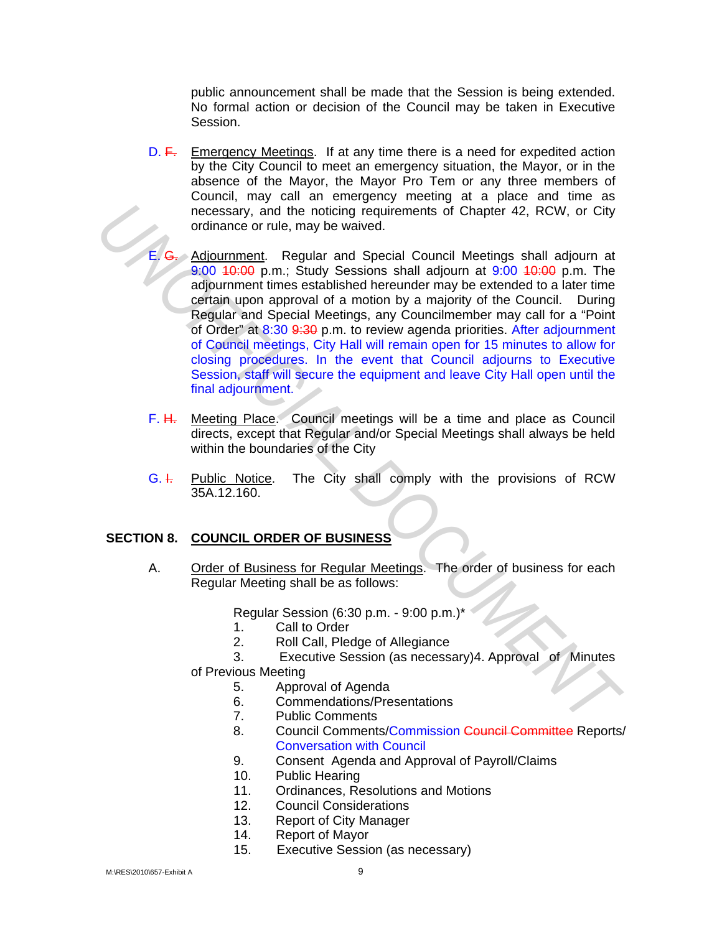public announcement shall be made that the Session is being extended. No formal action or decision of the Council may be taken in Executive Session.

- D. F. Emergency Meetings. If at any time there is a need for expedited action by the City Council to meet an emergency situation, the Mayor, or in the absence of the Mayor, the Mayor Pro Tem or any three members of Council, may call an emergency meeting at a place and time as necessary, and the noticing requirements of Chapter 42, RCW, or City ordinance or rule, may be waived.
- Adjournment. Regular and Special Council Meetings shall adjourn at 9:00 10:00 p.m.; Study Sessions shall adjourn at 9:00 10:00 p.m. The adjournment times established hereunder may be extended to a later time certain upon approval of a motion by a majority of the Council. During Regular and Special Meetings, any Councilmember may call for a "Point of Order" at 8:30 9:30 p.m. to review agenda priorities. After adjournment of Council meetings, City Hall will remain open for 15 minutes to allow for closing procedures. In the event that Council adjourns to Executive Session, staff will secure the equipment and leave City Hall open until the final adjournment. **Example of rule, may be vaired.** The product of Chapter 42, RCW, or City<br> **Unding contribution** and Special Council Meetings shall adjourn at<br> **E. G.** Adjournment times stablished heroundor may be extended to a later time
	- F. H. Meeting Place. Council meetings will be a time and place as Council directs, except that Regular and/or Special Meetings shall always be held within the boundaries of the City
	- $G. \dot{F}$  Public Notice. The City shall comply with the provisions of RCW 35A.12.160.

# **SECTION 8. COUNCIL ORDER OF BUSINESS**

A. Order of Business for Regular Meetings. The order of business for each Regular Meeting shall be as follows:

Regular Session (6:30 p.m. - 9:00 p.m.)\*

- 1. Call to Order
- 2. Roll Call, Pledge of Allegiance
- 3. Executive Session (as necessary)4. Approval of Minutes
- of Previous Meeting
	- 5. Approval of Agenda
	- 6. Commendations/Presentations
	- 7. Public Comments
	- 8. Council Comments/Commission Council Committee Reports/ Conversation with Council
	- 9. Consent Agenda and Approval of Payroll/Claims
	- 10. Public Hearing
	- 11. Ordinances, Resolutions and Motions
	- 12. Council Considerations
	- 13. Report of City Manager
	- 14. Report of Mayor
	- 15. Executive Session (as necessary)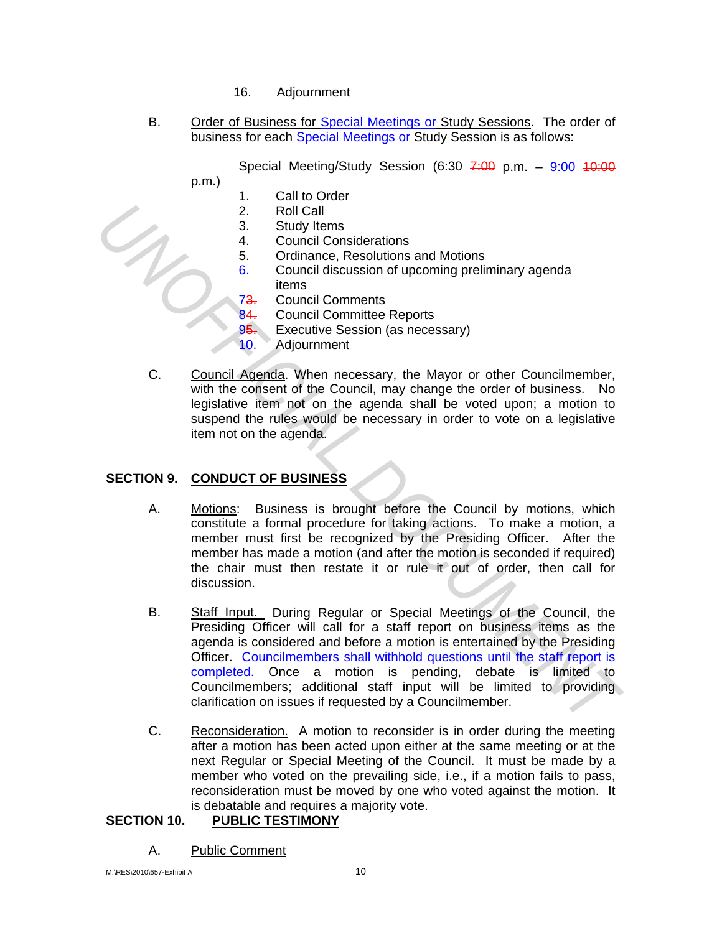- 16. Adjournment
- B. Order of Business for Special Meetings or Study Sessions. The order of business for each Special Meetings or Study Session is as follows:

Special Meeting/Study Session (6:30  $7:00$  p.m.  $-$  9:00  $10:00$ 

- p.m.)
	- 1. Call to Order
	- 2. Roll Call
	- 3. Study Items
	- 4. Council Considerations
	- 5. Ordinance, Resolutions and Motions
	- 6. Council discussion of upcoming preliminary agenda items
	- 73. Council Comments
	- 84. Council Committee Reports
	- 95. Executive Session (as necessary)
	- 10. Adjournment
- C. Council Agenda. When necessary, the Mayor or other Councilmember, with the consent of the Council, may change the order of business. No legislative item not on the agenda shall be voted upon; a motion to suspend the rules would be necessary in order to vote on a legislative item not on the agenda.

# **SECTION 9. CONDUCT OF BUSINESS**

- A. Motions: Business is brought before the Council by motions, which constitute a formal procedure for taking actions. To make a motion, a member must first be recognized by the Presiding Officer. After the member has made a motion (and after the motion is seconded if required) the chair must then restate it or rule it out of order, then call for discussion.
- B. Staff Input. During Regular or Special Meetings of the Council, the Presiding Officer will call for a staff report on business items as the agenda is considered and before a motion is entertained by the Presiding Officer. Councilmembers shall withhold questions until the staff report is completed. Once a motion is pending, debate is limited to Councilmembers; additional staff input will be limited to providing clarification on issues if requested by a Councilmember. 2. Roll Cail<br>
3. Study litems<br>
4. Council Considerations<br>
6. Contained, Resolutions and Motions<br>
6. Council discussion of upcoming preliminary agenda<br>
6. Council discussion of upcoming preliminary agenda<br>
73, Council Comme
	- C. Reconsideration. A motion to reconsider is in order during the meeting after a motion has been acted upon either at the same meeting or at the next Regular or Special Meeting of the Council. It must be made by a member who voted on the prevailing side, i.e., if a motion fails to pass, reconsideration must be moved by one who voted against the motion. It is debatable and requires a majority vote.

# **SECTION 10. PUBLIC TESTIMONY**

A. Public Comment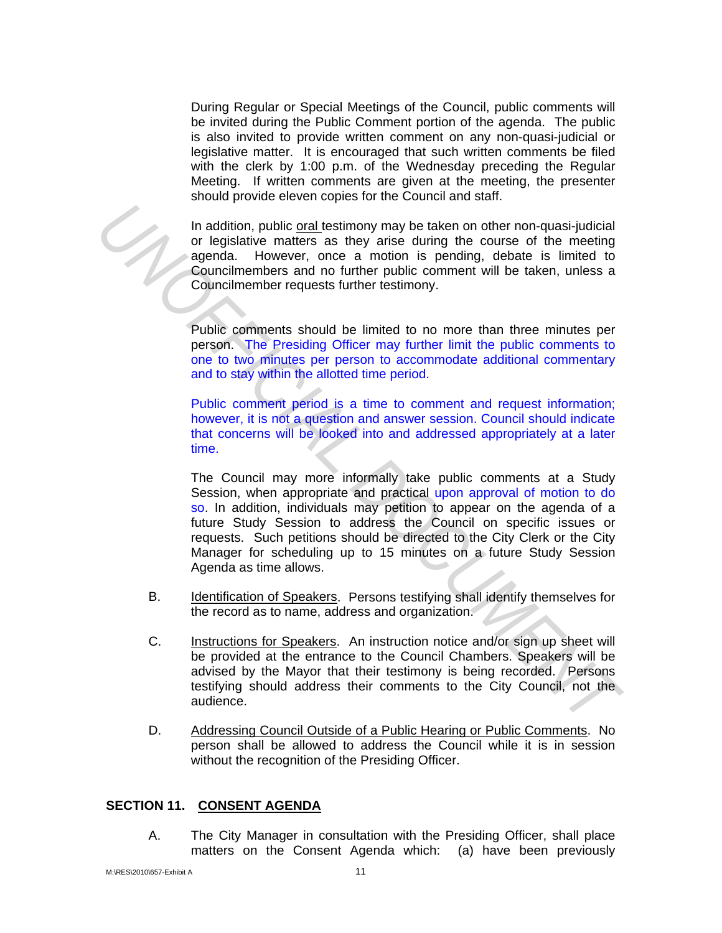During Regular or Special Meetings of the Council, public comments will be invited during the Public Comment portion of the agenda. The public is also invited to provide written comment on any non-quasi-judicial or legislative matter. It is encouraged that such written comments be filed with the clerk by 1:00 p.m. of the Wednesday preceding the Regular Meeting. If written comments are given at the meeting, the presenter should provide eleven copies for the Council and staff.

In addition, public oral testimony may be taken on other non-quasi-judicial or legislative matters as they arise during the course of the meeting agenda. However, once a motion is pending, debate is limited to Councilmembers and no further public comment will be taken, unless a Councilmember requests further testimony.

Public comments should be limited to no more than three minutes per person. The Presiding Officer may further limit the public comments to one to two minutes per person to accommodate additional commentary and to stay within the allotted time period.

Public comment period is a time to comment and request information; however, it is not a question and answer session. Council should indicate that concerns will be looked into and addressed appropriately at a later time.

The Council may more informally take public comments at a Study Session, when appropriate and practical upon approval of motion to do so. In addition, individuals may petition to appear on the agenda of a future Study Session to address the Council on specific issues or requests. Such petitions should be directed to the City Clerk or the City Manager for scheduling up to 15 minutes on a future Study Session Agenda as time allows. **Example 12** In addition, public orgluestimony may be taken on other non-quasi-judicial<br>or legislative matters as they arise during the course of the meeting<br>agenda. However, once a motion is pending, debate is limited to<br>

- B. Identification of Speakers. Persons testifying shall identify themselves for the record as to name, address and organization.
- C. Instructions for Speakers. An instruction notice and/or sign up sheet will be provided at the entrance to the Council Chambers. Speakers will be advised by the Mayor that their testimony is being recorded. Persons testifying should address their comments to the City Council, not the audience.
- D. Addressing Council Outside of a Public Hearing or Public Comments. No person shall be allowed to address the Council while it is in session without the recognition of the Presiding Officer.

#### **SECTION 11. CONSENT AGENDA**

A. The City Manager in consultation with the Presiding Officer, shall place matters on the Consent Agenda which: (a) have been previously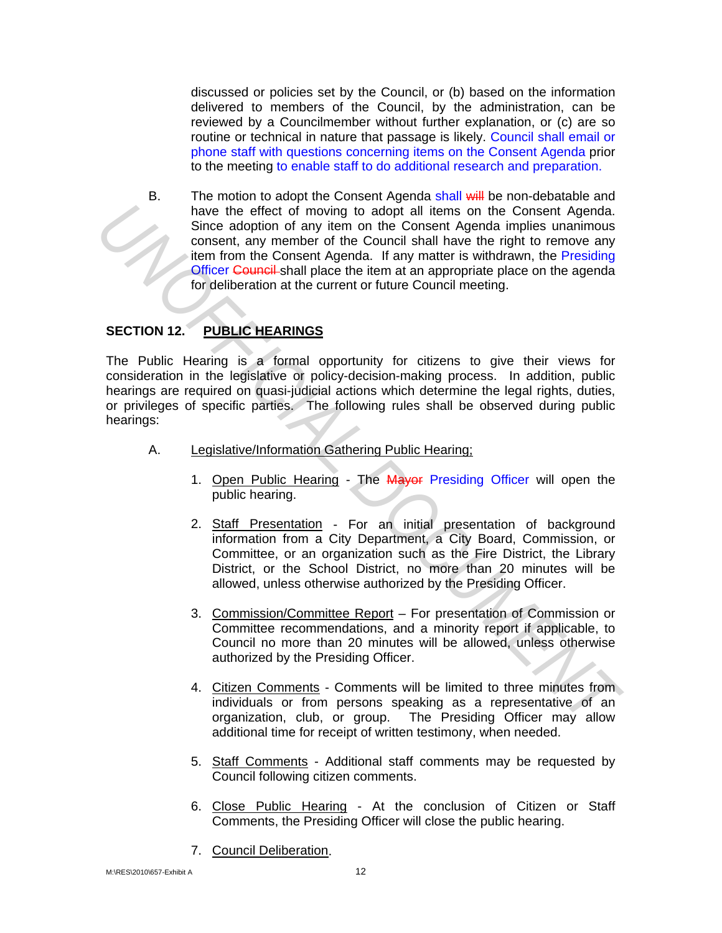discussed or policies set by the Council, or (b) based on the information delivered to members of the Council, by the administration, can be reviewed by a Councilmember without further explanation, or (c) are so routine or technical in nature that passage is likely. Council shall email or phone staff with questions concerning items on the Consent Agenda prior to the meeting to enable staff to do additional research and preparation.

B. The motion to adopt the Consent Agenda shall will be non-debatable and have the effect of moving to adopt all items on the Consent Agenda. Since adoption of any item on the Consent Agenda implies unanimous consent, any member of the Council shall have the right to remove any item from the Consent Agenda. If any matter is withdrawn, the Presiding Officer Council shall place the item at an appropriate place on the agenda for deliberation at the current or future Council meeting. **Example 19 and the different more in the consent Agenda inclusion and the consent of the Council shall have the right to remove any<br>
<b>UNOFFICIAL DOCUMENT CONCUMENT CONCUMENT**<br> **UNOFFICIAL DOCUMENT CONCUMENT CONCUMENTANT C** 

# SECTION 12. PUBLIC HEARINGS

The Public Hearing is a formal opportunity for citizens to give their views for consideration in the legislative or policy-decision-making process. In addition, public hearings are required on quasi-judicial actions which determine the legal rights, duties, or privileges of specific parties. The following rules shall be observed during public hearings:

- A. Legislative/Information Gathering Public Hearing;
	- 1. Open Public Hearing The Mayor Presiding Officer will open the public hearing.
	- 2. Staff Presentation For an initial presentation of background information from a City Department, a City Board, Commission, or Committee, or an organization such as the Fire District, the Library District, or the School District, no more than 20 minutes will be allowed, unless otherwise authorized by the Presiding Officer.
	- 3. Commission/Committee Report For presentation of Commission or Committee recommendations, and a minority report if applicable, to Council no more than 20 minutes will be allowed, unless otherwise authorized by the Presiding Officer.
	- 4. Citizen Comments Comments will be limited to three minutes from individuals or from persons speaking as a representative of an organization, club, or group. The Presiding Officer may allow additional time for receipt of written testimony, when needed.
	- 5. Staff Comments Additional staff comments may be requested by Council following citizen comments.
	- 6. Close Public Hearing At the conclusion of Citizen or Staff Comments, the Presiding Officer will close the public hearing.
	- 7. Council Deliberation.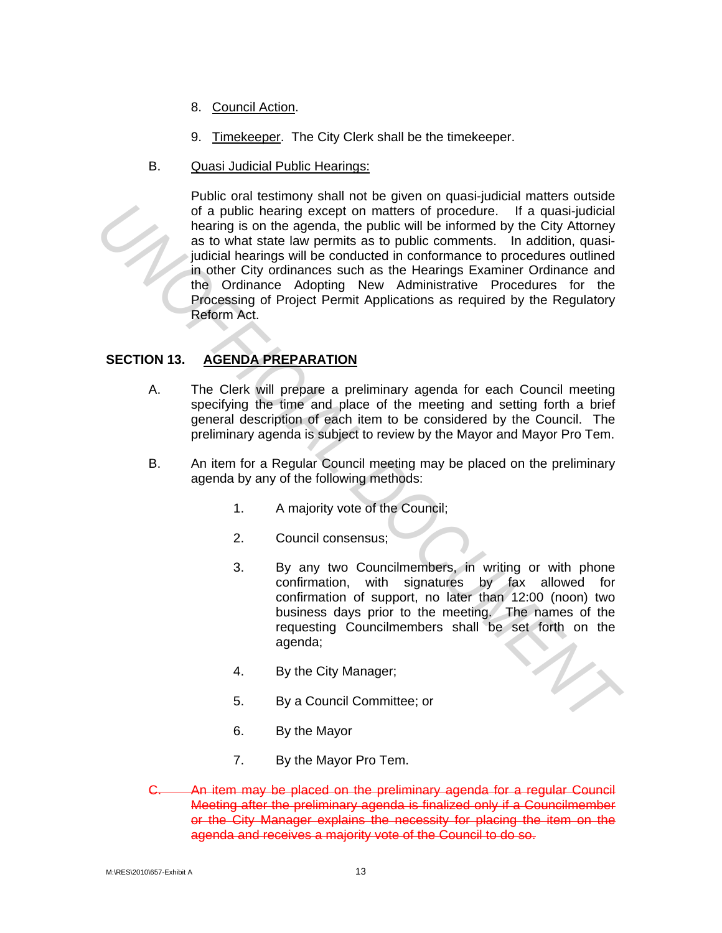- 8. Council Action.
- 9. Timekeeper. The City Clerk shall be the timekeeper.
- B. Quasi Judicial Public Hearings:

Public oral testimony shall not be given on quasi-judicial matters outside of a public hearing except on matters of procedure. If a quasi-judicial hearing is on the agenda, the public will be informed by the City Attorney as to what state law permits as to public comments. In addition, quasijudicial hearings will be conducted in conformance to procedures outlined in other City ordinances such as the Hearings Examiner Ordinance and the Ordinance Adopting New Administrative Procedures for the Processing of Project Permit Applications as required by the Regulatory Reform Act. of a public hearing oxcept on matters of procedure. If a quasi-judicial hearing is on the agenda, the public comments. In addition, quasi-<br>
unducle hearing will be conducted in conformance to procedures outlined by the Cit

# **SECTION 13. AGENDA PREPARATION**

- A. The Clerk will prepare a preliminary agenda for each Council meeting specifying the time and place of the meeting and setting forth a brief general description of each item to be considered by the Council. The preliminary agenda is subject to review by the Mayor and Mayor Pro Tem.
- B. An item for a Regular Council meeting may be placed on the preliminary agenda by any of the following methods:
	- 1. A majority vote of the Council;
	- 2. Council consensus;
	- 3. By any two Councilmembers, in writing or with phone confirmation, with signatures by fax allowed for confirmation of support, no later than 12:00 (noon) two business days prior to the meeting. The names of the requesting Councilmembers shall be set forth on the agenda;
	- 4. By the City Manager;
	- 5. By a Council Committee; or
	- 6. By the Mayor
	- 7. By the Mayor Pro Tem.
- An item may be placed on the preliminary agenda for a regular Council Meeting after the preliminary agenda is finalized only if a Councilmember or the City Manager explains the necessity for placing the item on the agenda and receives a majority vote of the Council to do so.